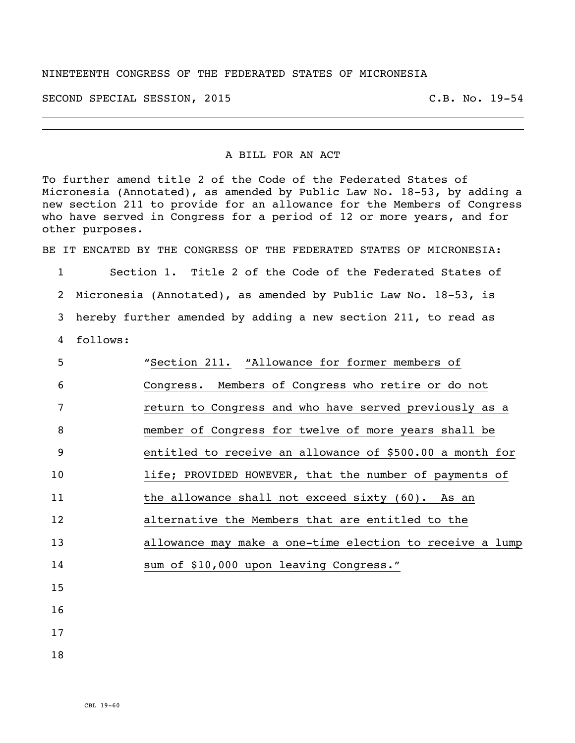## NINETEENTH CONGRESS OF THE FEDERATED STATES OF MICRONESIA

SECOND SPECIAL SESSION, 2015 C.B. No. 19-54

## A BILL FOR AN ACT

To further amend title 2 of the Code of the Federated States of Micronesia (Annotated), as amended by Public Law No. 18-53, by adding a new section 211 to provide for an allowance for the Members of Congress who have served in Congress for a period of 12 or more years, and for other purposes.

BE IT ENCATED BY THE CONGRESS OF THE FEDERATED STATES OF MICRONESIA:

1 Section 1. Title 2 of the Code of the Federated States of 2 Micronesia (Annotated), as amended by Public Law No. 18-53, is 3 hereby further amended by adding a new section 211, to read as

4 follows:

| 5               | "Section 211. "Allowance for former members of           |
|-----------------|----------------------------------------------------------|
| 6               | Congress. Members of Congress who retire or do not       |
| 7               | return to Congress and who have served previously as a   |
| 8               | member of Congress for twelve of more years shall be     |
| 9               | entitled to receive an allowance of \$500.00 a month for |
| 10              | life; PROVIDED HOWEVER, that the number of payments of   |
| 11              | the allowance shall not exceed sixty (60). As an         |
| 12 <sup>2</sup> | alternative the Members that are entitled to the         |
| 13              | allowance may make a one-time election to receive a lump |
| 14              | sum of \$10,000 upon leaving Congress."                  |
| 15              |                                                          |
| 16              |                                                          |
|                 |                                                          |

- 17
- 18